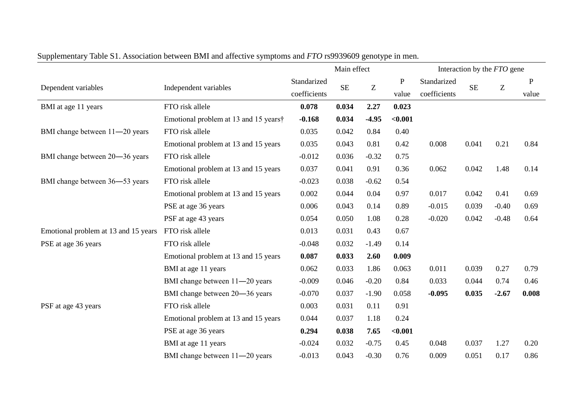| $\mathbf{r}$                         |                                       |              | Main effect |         |           |              | Interaction by the FTO gene |                                                                            |       |  |  |
|--------------------------------------|---------------------------------------|--------------|-------------|---------|-----------|--------------|-----------------------------|----------------------------------------------------------------------------|-------|--|--|
| Dependent variables                  | Independent variables                 | Standarized  | <b>SE</b>   | Z       | ${\bf P}$ | Standarized  | <b>SE</b>                   |                                                                            | P     |  |  |
|                                      |                                       | coefficients |             |         | value     | coefficients |                             | Ζ<br>0.21<br>1.48<br>0.41<br>$-0.40$<br>$-0.48$<br>0.27<br>0.74<br>$-2.67$ | value |  |  |
| BMI at age 11 years                  | FTO risk allele                       | 0.078        | 0.034       | 2.27    | 0.023     |              |                             |                                                                            |       |  |  |
|                                      | Emotional problem at 13 and 15 years† | $-0.168$     | 0.034       | $-4.95$ | < 0.001   |              |                             |                                                                            |       |  |  |
| BMI change between 11-20 years       | FTO risk allele                       | 0.035        | 0.042       | 0.84    | 0.40      |              |                             |                                                                            |       |  |  |
|                                      | Emotional problem at 13 and 15 years  | 0.035        | 0.043       | 0.81    | 0.42      | 0.008        | 0.041                       |                                                                            | 0.84  |  |  |
| BMI change between 20-36 years       | FTO risk allele                       | $-0.012$     | 0.036       | $-0.32$ | 0.75      |              |                             |                                                                            |       |  |  |
|                                      | Emotional problem at 13 and 15 years  | 0.037        | 0.041       | 0.91    | 0.36      | 0.062        | 0.042                       |                                                                            | 0.14  |  |  |
| BMI change between 36-53 years       | FTO risk allele                       | $-0.023$     | 0.038       | $-0.62$ | 0.54      |              |                             |                                                                            |       |  |  |
|                                      | Emotional problem at 13 and 15 years  | 0.002        | 0.044       | 0.04    | 0.97      | 0.017        | 0.042                       |                                                                            | 0.69  |  |  |
|                                      | PSE at age 36 years                   | 0.006        | 0.043       | 0.14    | 0.89      | $-0.015$     | 0.039                       |                                                                            | 0.69  |  |  |
|                                      | PSF at age 43 years                   | 0.054        | 0.050       | 1.08    | 0.28      | $-0.020$     | 0.042                       |                                                                            | 0.64  |  |  |
| Emotional problem at 13 and 15 years | FTO risk allele                       | 0.013        | 0.031       | 0.43    | 0.67      |              |                             |                                                                            |       |  |  |
| PSE at age 36 years                  | FTO risk allele                       | $-0.048$     | 0.032       | $-1.49$ | 0.14      |              |                             |                                                                            |       |  |  |
|                                      | Emotional problem at 13 and 15 years  | 0.087        | 0.033       | 2.60    | 0.009     |              |                             |                                                                            |       |  |  |
|                                      | BMI at age 11 years                   | 0.062        | 0.033       | 1.86    | 0.063     | 0.011        | 0.039                       |                                                                            | 0.79  |  |  |
|                                      | BMI change between 11-20 years        | $-0.009$     | 0.046       | $-0.20$ | 0.84      | 0.033        | 0.044                       |                                                                            | 0.46  |  |  |
|                                      | BMI change between 20-36 years        | $-0.070$     | 0.037       | $-1.90$ | 0.058     | $-0.095$     | 0.035                       |                                                                            | 0.008 |  |  |
| PSF at age 43 years                  | FTO risk allele                       | 0.003        | 0.031       | 0.11    | 0.91      |              |                             |                                                                            |       |  |  |
|                                      | Emotional problem at 13 and 15 years  | 0.044        | 0.037       | 1.18    | 0.24      |              |                             |                                                                            |       |  |  |
|                                      | PSE at age 36 years                   | 0.294        | 0.038       | 7.65    | < 0.001   |              |                             |                                                                            |       |  |  |
|                                      | BMI at age 11 years                   | $-0.024$     | 0.032       | $-0.75$ | 0.45      | 0.048        | 0.037                       | 1.27                                                                       | 0.20  |  |  |
|                                      | BMI change between 11-20 years        | $-0.013$     | 0.043       | $-0.30$ | 0.76      | 0.009        | 0.051                       | 0.17                                                                       | 0.86  |  |  |

Supplementary Table S1. Association between BMI and affective symptoms and *FTO* rs9939609 genotype in men.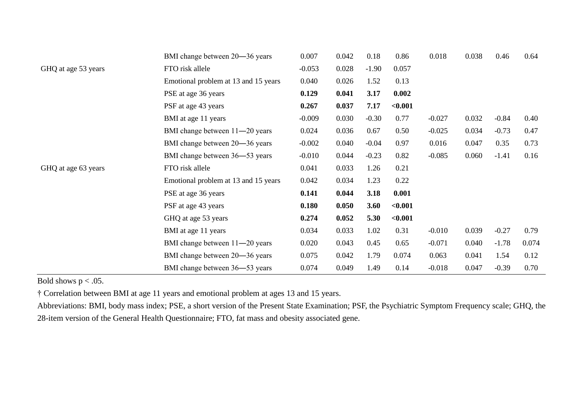|                     | BMI change between 20-36 years       | 0.007    | 0.042 | 0.18    | 0.86    | 0.018    | 0.038 | 0.46    | 0.64  |
|---------------------|--------------------------------------|----------|-------|---------|---------|----------|-------|---------|-------|
| GHQ at age 53 years | FTO risk allele                      | $-0.053$ | 0.028 | $-1.90$ | 0.057   |          |       |         |       |
|                     | Emotional problem at 13 and 15 years | 0.040    | 0.026 | 1.52    | 0.13    |          |       |         |       |
|                     | PSE at age 36 years                  | 0.129    | 0.041 | 3.17    | 0.002   |          |       |         |       |
|                     | PSF at age 43 years                  | 0.267    | 0.037 | 7.17    | < 0.001 |          |       |         |       |
|                     | BMI at age 11 years                  | $-0.009$ | 0.030 | $-0.30$ | 0.77    | $-0.027$ | 0.032 | $-0.84$ | 0.40  |
|                     | BMI change between 11-20 years       | 0.024    | 0.036 | 0.67    | 0.50    | $-0.025$ | 0.034 | $-0.73$ | 0.47  |
|                     | BMI change between 20–36 years       | $-0.002$ | 0.040 | $-0.04$ | 0.97    | 0.016    | 0.047 | 0.35    | 0.73  |
|                     | BMI change between 36–53 years       | $-0.010$ | 0.044 | $-0.23$ | 0.82    | $-0.085$ | 0.060 | $-1.41$ | 0.16  |
| GHQ at age 63 years | FTO risk allele                      | 0.041    | 0.033 | 1.26    | 0.21    |          |       |         |       |
|                     | Emotional problem at 13 and 15 years | 0.042    | 0.034 | 1.23    | 0.22    |          |       |         |       |
|                     | PSE at age 36 years                  | 0.141    | 0.044 | 3.18    | 0.001   |          |       |         |       |
|                     | PSF at age 43 years                  | 0.180    | 0.050 | 3.60    | < 0.001 |          |       |         |       |
|                     | GHQ at age 53 years                  | 0.274    | 0.052 | 5.30    | < 0.001 |          |       |         |       |
|                     | BMI at age 11 years                  | 0.034    | 0.033 | 1.02    | 0.31    | $-0.010$ | 0.039 | $-0.27$ | 0.79  |
|                     | BMI change between 11-20 years       | 0.020    | 0.043 | 0.45    | 0.65    | $-0.071$ | 0.040 | $-1.78$ | 0.074 |
|                     | BMI change between 20–36 years       | 0.075    | 0.042 | 1.79    | 0.074   | 0.063    | 0.041 | 1.54    | 0.12  |
|                     | BMI change between 36–53 years       | 0.074    | 0.049 | 1.49    | 0.14    | $-0.018$ | 0.047 | $-0.39$ | 0.70  |

Bold shows  $p < .05$ .

† Correlation between BMI at age 11 years and emotional problem at ages 13 and 15 years.

Abbreviations: BMI, body mass index; PSE, a short version of the Present State Examination; PSF, the Psychiatric Symptom Frequency scale; GHQ, the 28-item version of the General Health Questionnaire; FTO, fat mass and obesity associated gene.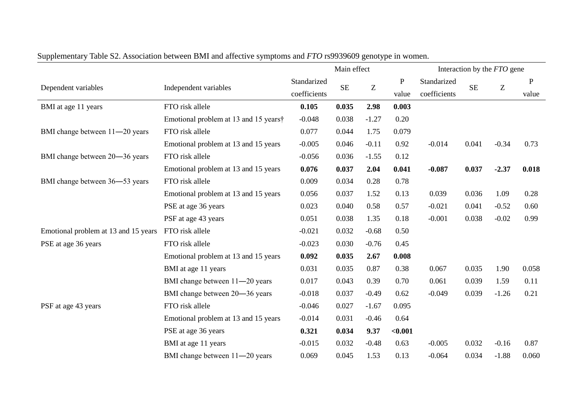| $\mathbf{r}$                         |                                       |              | Main effect |         |           |              | Interaction by the <i>FTO</i> gene |         |       |  |  |
|--------------------------------------|---------------------------------------|--------------|-------------|---------|-----------|--------------|------------------------------------|---------|-------|--|--|
|                                      |                                       | Standarized  |             |         | ${\bf P}$ | Standarized  |                                    |         | P     |  |  |
| Dependent variables                  | Independent variables                 | coefficients | <b>SE</b>   | Z       | value     | coefficients | <b>SE</b>                          | Ζ       | value |  |  |
| BMI at age 11 years                  | FTO risk allele                       | 0.105        | 0.035       | 2.98    | 0.003     |              |                                    |         |       |  |  |
|                                      | Emotional problem at 13 and 15 years† | $-0.048$     | 0.038       | $-1.27$ | 0.20      |              |                                    |         |       |  |  |
| BMI change between 11-20 years       | FTO risk allele                       | 0.077        | 0.044       | 1.75    | 0.079     |              |                                    |         |       |  |  |
|                                      | Emotional problem at 13 and 15 years  | $-0.005$     | 0.046       | $-0.11$ | 0.92      | $-0.014$     | 0.041                              | $-0.34$ | 0.73  |  |  |
| BMI change between 20-36 years       | FTO risk allele                       | $-0.056$     | 0.036       | $-1.55$ | 0.12      |              |                                    |         |       |  |  |
|                                      | Emotional problem at 13 and 15 years  | 0.076        | 0.037       | 2.04    | 0.041     | $-0.087$     | 0.037                              | $-2.37$ | 0.018 |  |  |
| BMI change between 36-53 years       | FTO risk allele                       | 0.009        | 0.034       | 0.28    | 0.78      |              |                                    |         |       |  |  |
|                                      | Emotional problem at 13 and 15 years  | 0.056        | 0.037       | 1.52    | 0.13      | 0.039        | 0.036                              | 1.09    | 0.28  |  |  |
|                                      | PSE at age 36 years                   | 0.023        | 0.040       | 0.58    | 0.57      | $-0.021$     | 0.041                              | $-0.52$ | 0.60  |  |  |
|                                      | PSF at age 43 years                   | 0.051        | 0.038       | 1.35    | 0.18      | $-0.001$     | 0.038                              | $-0.02$ | 0.99  |  |  |
| Emotional problem at 13 and 15 years | FTO risk allele                       | $-0.021$     | 0.032       | $-0.68$ | 0.50      |              |                                    |         |       |  |  |
| PSE at age 36 years                  | FTO risk allele                       | $-0.023$     | 0.030       | $-0.76$ | 0.45      |              |                                    |         |       |  |  |
|                                      | Emotional problem at 13 and 15 years  | 0.092        | 0.035       | 2.67    | 0.008     |              |                                    |         |       |  |  |
|                                      | BMI at age 11 years                   | 0.031        | 0.035       | 0.87    | 0.38      | 0.067        | 0.035                              | 1.90    | 0.058 |  |  |
|                                      | BMI change between 11-20 years        | 0.017        | 0.043       | 0.39    | 0.70      | 0.061        | 0.039                              | 1.59    | 0.11  |  |  |
|                                      | BMI change between 20-36 years        | $-0.018$     | 0.037       | $-0.49$ | 0.62      | $-0.049$     | 0.039                              | $-1.26$ | 0.21  |  |  |
| PSF at age 43 years                  | FTO risk allele                       | $-0.046$     | 0.027       | $-1.67$ | 0.095     |              |                                    |         |       |  |  |
|                                      | Emotional problem at 13 and 15 years  | $-0.014$     | 0.031       | $-0.46$ | 0.64      |              |                                    |         |       |  |  |
|                                      | PSE at age 36 years                   | 0.321        | 0.034       | 9.37    | $0.001$   |              |                                    |         |       |  |  |
|                                      | BMI at age 11 years                   | $-0.015$     | 0.032       | $-0.48$ | 0.63      | $-0.005$     | 0.032                              | $-0.16$ | 0.87  |  |  |
|                                      | BMI change between 11-20 years        | 0.069        | 0.045       | 1.53    | 0.13      | $-0.064$     | 0.034                              | $-1.88$ | 0.060 |  |  |

Supplementary Table S2. Association between BMI and affective symptoms and *FTO* rs9939609 genotype in women.